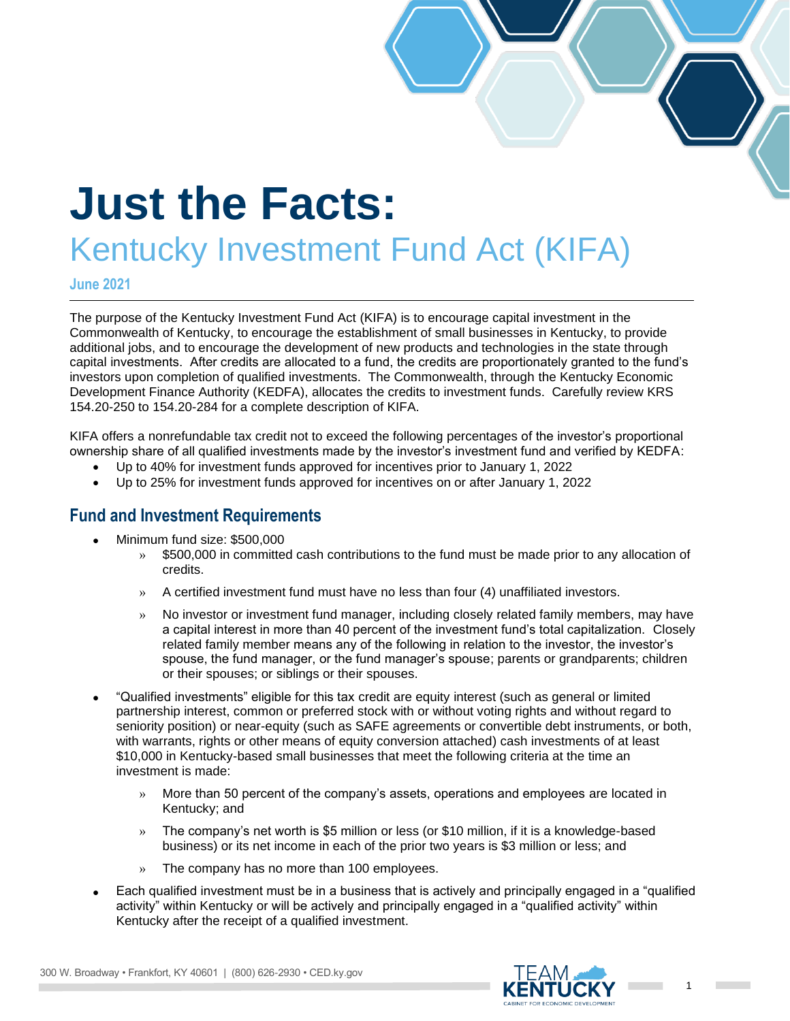# **Just the Facts:**

## Kentucky Investment Fund Act (KIFA)

**June 2021**

The purpose of the Kentucky Investment Fund Act (KIFA) is to encourage capital investment in the Commonwealth of Kentucky, to encourage the establishment of small businesses in Kentucky, to provide additional jobs, and to encourage the development of new products and technologies in the state through capital investments. After credits are allocated to a fund, the credits are proportionately granted to the fund's investors upon completion of qualified investments. The Commonwealth, through the Kentucky Economic Development Finance Authority (KEDFA), allocates the credits to investment funds. Carefully review KRS 154.20-250 to 154.20-284 for a complete description of KIFA.

KIFA offers a nonrefundable tax credit not to exceed the following percentages of the investor's proportional ownership share of all qualified investments made by the investor's investment fund and verified by KEDFA:

- Up to 40% for investment funds approved for incentives prior to January 1, 2022
- Up to 25% for investment funds approved for incentives on or after January 1, 2022

#### **Fund and Investment Requirements**

- Minimum fund size: \$500,000
	- » \$500,000 in committed cash contributions to the fund must be made prior to any allocation of credits.
	- » A certified investment fund must have no less than four (4) unaffiliated investors.
	- » No investor or investment fund manager, including closely related family members, may have a capital interest in more than 40 percent of the investment fund's total capitalization. Closely related family member means any of the following in relation to the investor, the investor's spouse, the fund manager, or the fund manager's spouse; parents or grandparents; children or their spouses; or siblings or their spouses.
- "Qualified investments" eligible for this tax credit are equity interest (such as general or limited partnership interest, common or preferred stock with or without voting rights and without regard to seniority position) or near-equity (such as SAFE agreements or convertible debt instruments, or both, with warrants, rights or other means of equity conversion attached) cash investments of at least \$10,000 in Kentucky-based small businesses that meet the following criteria at the time an investment is made:
	- » More than 50 percent of the company's assets, operations and employees are located in Kentucky; and
	- » The company's net worth is \$5 million or less (or \$10 million, if it is a knowledge-based business) or its net income in each of the prior two years is \$3 million or less; and
	- » The company has no more than 100 employees.
- Each qualified investment must be in a business that is actively and principally engaged in a "qualified activity" within Kentucky or will be actively and principally engaged in a "qualified activity" within Kentucky after the receipt of a qualified investment.

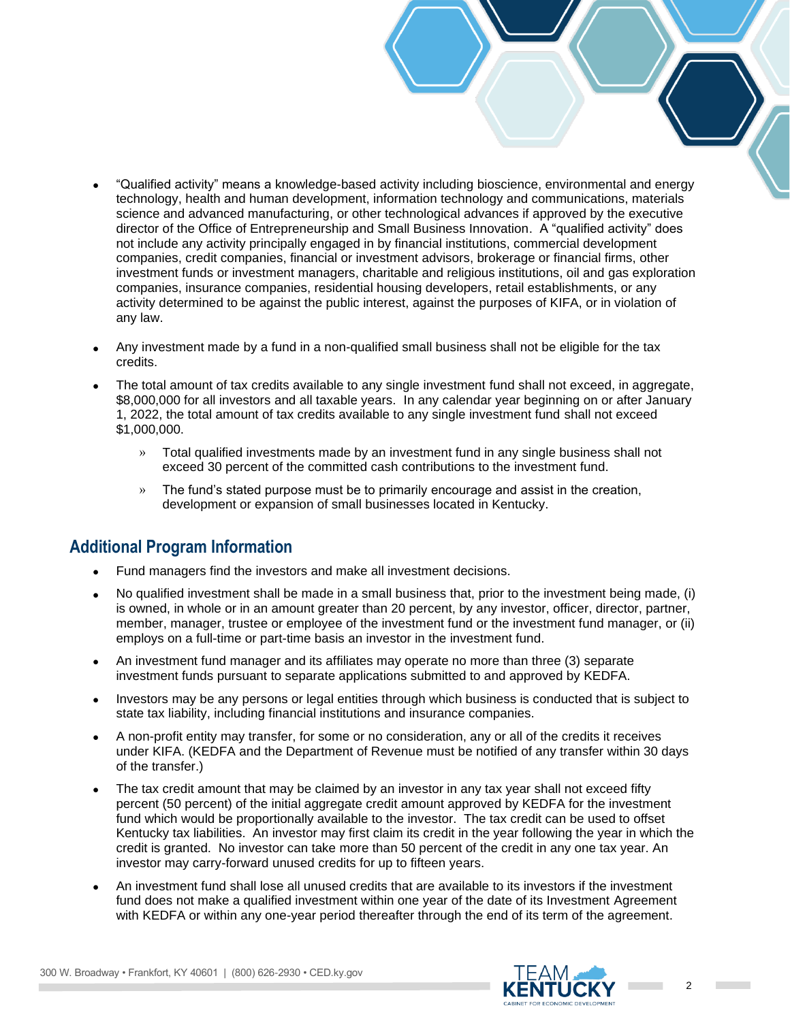- "Qualified activity" means a knowledge-based activity including bioscience, environmental and energy technology, health and human development, information technology and communications, materials science and advanced manufacturing, or other technological advances if approved by the executive director of the Office of Entrepreneurship and Small Business Innovation. A "qualified activity" does not include any activity principally engaged in by financial institutions, commercial development companies, credit companies, financial or investment advisors, brokerage or financial firms, other investment funds or investment managers, charitable and religious institutions, oil and gas exploration companies, insurance companies, residential housing developers, retail establishments, or any activity determined to be against the public interest, against the purposes of KIFA, or in violation of any law.
- Any investment made by a fund in a non-qualified small business shall not be eligible for the tax credits.
- The total amount of tax credits available to any single investment fund shall not exceed, in aggregate, \$8,000,000 for all investors and all taxable years. In any calendar year beginning on or after January 1, 2022, the total amount of tax credits available to any single investment fund shall not exceed \$1,000,000.
	- » Total qualified investments made by an investment fund in any single business shall not exceed 30 percent of the committed cash contributions to the investment fund.
	- » The fund's stated purpose must be to primarily encourage and assist in the creation, development or expansion of small businesses located in Kentucky.

#### **Additional Program Information**

- Fund managers find the investors and make all investment decisions.
- No qualified investment shall be made in a small business that, prior to the investment being made, (i) is owned, in whole or in an amount greater than 20 percent, by any investor, officer, director, partner, member, manager, trustee or employee of the investment fund or the investment fund manager, or (ii) employs on a full-time or part-time basis an investor in the investment fund.
- An investment fund manager and its affiliates may operate no more than three (3) separate investment funds pursuant to separate applications submitted to and approved by KEDFA.
- Investors may be any persons or legal entities through which business is conducted that is subject to state tax liability, including financial institutions and insurance companies.
- A non-profit entity may transfer, for some or no consideration, any or all of the credits it receives under KIFA. (KEDFA and the Department of Revenue must be notified of any transfer within 30 days of the transfer.)
- The tax credit amount that may be claimed by an investor in any tax year shall not exceed fifty percent (50 percent) of the initial aggregate credit amount approved by KEDFA for the investment fund which would be proportionally available to the investor. The tax credit can be used to offset Kentucky tax liabilities. An investor may first claim its credit in the year following the year in which the credit is granted. No investor can take more than 50 percent of the credit in any one tax year. An investor may carry-forward unused credits for up to fifteen years.
- An investment fund shall lose all unused credits that are available to its investors if the investment fund does not make a qualified investment within one year of the date of its Investment Agreement with KEDFA or within any one-year period thereafter through the end of its term of the agreement.